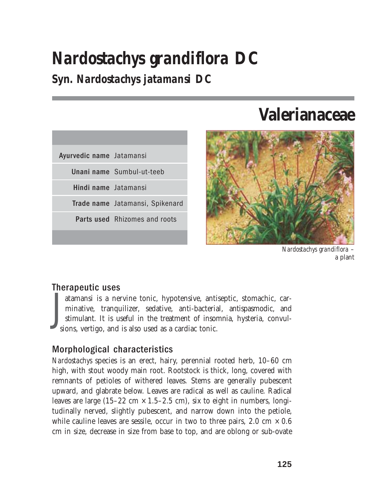# *Nardostachys grandiflora* **DC**

### **Syn.** *Nardostachys jatamansi* **DC**

| Ayurvedic name Jatamansi |                                      |
|--------------------------|--------------------------------------|
|                          | Unani name Sumbul-ut-teeb            |
| Hindi name Jatamansi     |                                      |
|                          | Trade name Jatamansi, Spikenard      |
|                          | <b>Parts used</b> Rhizomes and roots |
|                          |                                      |

## **Valerianaceae**



*Nardostachys grandiflora* – a plant

#### Therapeutic uses

 $\int_{\frac{1}{30}}$ atamansi is a nervine tonic, hypotensive, antiseptic, stomachic, carminative, tranquilizer, sedative, anti-bacterial, antispasmodic, and stimulant. It is useful in the treatment of insomnia, hysteria, convulsions, vertigo, and is also used as a cardiac tonic.

#### Morphological characteristics

*Nardostachys* species is an erect, hairy, perennial rooted herb, 10–60 cm high, with stout woody main root. Rootstock is thick, long, covered with remnants of petioles of withered leaves. Stems are generally pubescent upward, and glabrate below. Leaves are radical as well as cauline. Radical leaves are large  $(15-22 \text{ cm} \times 1.5-2.5 \text{ cm})$ , six to eight in numbers, longitudinally nerved, slightly pubescent, and narrow down into the petiole, while cauline leaves are sessile, occur in two to three pairs, 2.0 cm  $\times$  0.6 cm in size, decrease in size from base to top, and are oblong or sub-ovate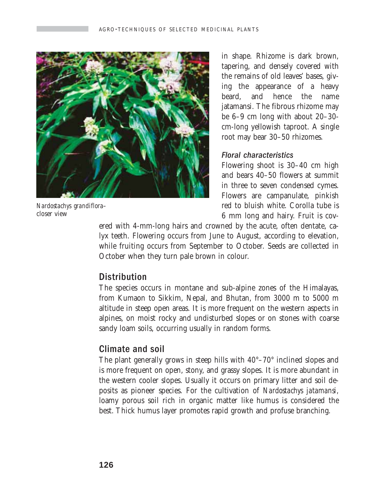

*Nardostachys grandiflora–* closer view

in shape. Rhizome is dark brown, tapering, and densely covered with the remains of old leaves' bases, giving the appearance of a heavy beard, and hence the name jatamansi. The fibrous rhizome may be 6–9 cm long with about 20–30 cm-long yellowish taproot. A single root may bear 30–50 rhizomes.

#### Floral characteristics

Flowering shoot is 30–40 cm high and bears 40–50 flowers at summit in three to seven condensed cymes. Flowers are campanulate, pinkish red to bluish white. Corolla tube is 6 mm long and hairy. Fruit is cov-

ered with 4-mm-long hairs and crowned by the acute, often dentate, calyx teeth. Flowering occurs from June to August, according to elevation, while fruiting occurs from September to October. Seeds are collected in October when they turn pale brown in colour.

#### **Distribution**

The species occurs in montane and sub-alpine zones of the Himalayas, from Kumaon to Sikkim, Nepal, and Bhutan, from 3000 m to 5000 m altitude in steep open areas. It is more frequent on the western aspects in alpines, on moist rocky and undisturbed slopes or on stones with coarse sandy loam soils, occurring usually in random forms.

#### Climate and soil

The plant generally grows in steep hills with 40°–70° inclined slopes and is more frequent on open, stony, and grassy slopes. It is more abundant in the western cooler slopes. Usually it occurs on primary litter and soil deposits as pioneer species. For the cultivation of *Nardostachys jatamansi,* loamy porous soil rich in organic matter like humus is considered the best. Thick humus layer promotes rapid growth and profuse branching.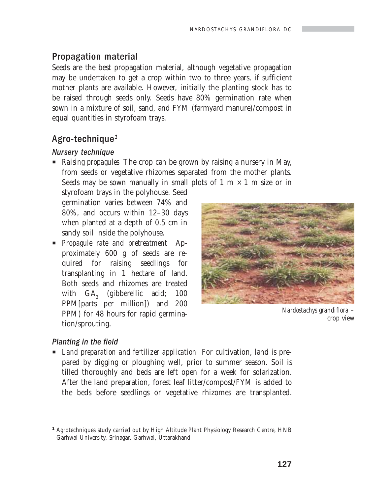#### Propagation material

Seeds are the best propagation material, although vegetative propagation may be undertaken to get a crop within two to three years, if sufficient mother plants are available. However, initially the planting stock has to be raised through seeds only. Seeds have 80% germination rate when sown in a mixture of soil, sand, and FYM (farmyard manure)/compost in equal quantities in styrofoam trays.

#### Agro-technique $1$

#### Nursery technique

**P** *Raising propagules* The crop can be grown by raising a nursery in May, from seeds or vegetative rhizomes separated from the mother plants. Seeds may be sown manually in small plots of 1 m  $\times$  1 m size or in

styrofoam trays in the polyhouse. Seed germination varies between 74% and 80%, and occurs within 12–30 days when planted at a depth of 0.5 cm in sandy soil inside the polyhouse.

**Propagule rate and pretreatment** Approximately 600 g of seeds are required for raising seedlings for transplanting in 1 hectare of land. Both seeds and rhizomes are treated with  $\mathrm{GA}_{_{3}}$  (gibberellic acid; 100 PPM[parts per million]) and 200 PPM) for 48 hours for rapid germination/sprouting.



*Nardostachys grandiflora* – crop view

#### Planting in the field

**E** *Land preparation and fertilizer application* For cultivation, land is prepared by digging or ploughing well, prior to summer season. Soil is tilled thoroughly and beds are left open for a week for solarization. After the land preparation, forest leaf litter/compost/FYM is added to the beds before seedlings or vegetative rhizomes are transplanted.

*<sup>1</sup>* Agrotechniques study carried out by High Altitude Plant Physiology Research Centre, HNB Garhwal University, Srinagar, Garhwal, Uttarakhand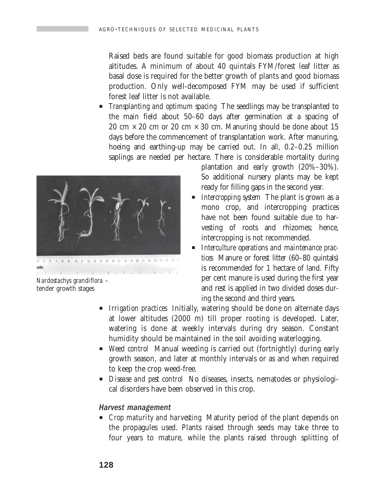Raised beds are found suitable for good biomass production at high altitudes. A minimum of about 40 quintals FYM/forest leaf litter as basal dose is required for the better growth of plants and good biomass production. Only well-decomposed FYM may be used if sufficient forest leaf litter is not available.

**P** *Transplanting and optimum spacing* The seedlings may be transplanted to the main field about 50–60 days after germination at a spacing of 20 cm  $\times$  20 cm or 20 cm  $\times$  30 cm. Manuring should be done about 15 days before the commencement of transplantation work. After manuring, hoeing and earthing-up may be carried out. In all, 0.2–0.25 million saplings are needed per hectare. There is considerable mortality during



*Nardostachys grandiflora* – tender growth stages

plantation and early growth (20%–30%). So additional nursery plants may be kept ready for filling gaps in the second year.

- *Intercropping system* The plant is grown as a mono crop, and intercropping practices have not been found suitable due to harvesting of roots and rhizomes; hence, intercropping is not recommended.
- **Interculture operations and maintenance prac***tices* Manure or forest litter (60–80 quintals) is recommended for 1 hectare of land. Fifty per cent manure is used during the first year and rest is applied in two divided doses during the second and third years.
- **F** *Irrigation practices* Initially, watering should be done on alternate days at lower altitudes (2000 m) till proper rooting is developed. Later, watering is done at weekly intervals during dry season. Constant humidity should be maintained in the soil avoiding waterlogging.
- **P** *Weed control* Manual weeding is carried out (fortnightly) during early growth season, and later at monthly intervals or as and when required to keep the crop weed-free.
- **P** *Disease and pest control* No diseases, insects, nematodes or physiological disorders have been observed in this crop.

#### Harvest management

**P** *Crop maturity and harvesting* Maturity period of the plant depends on the propagules used. Plants raised through seeds may take three to four years to mature, while the plants raised through splitting of